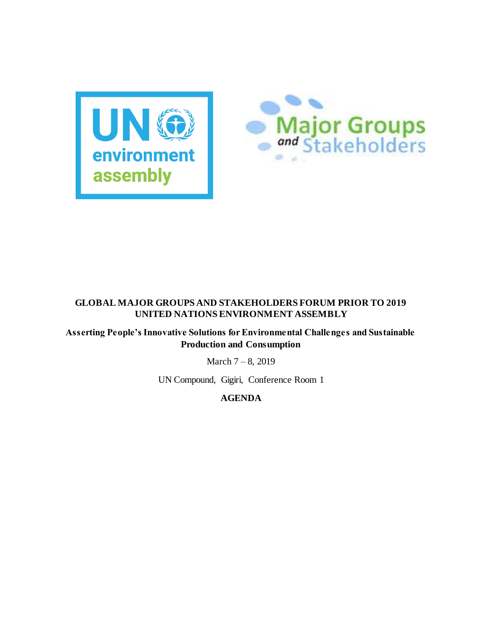



## **GLOBAL MAJOR GROUPS AND STAKEHOLDERS FORUM PRIOR TO 2019 UNITED NATIONS ENVIRONMENT ASSEMBLY**

**Asserting People's Innovative Solutions for Environmental Challenges and Sustainable Production and Consumption**

March 7 – 8, 2019

UN Compound, Gigiri, Conference Room 1

**AGENDA**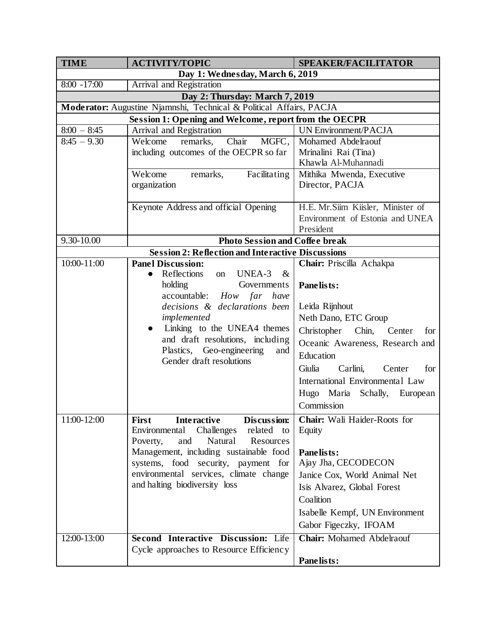| <b>TIME</b>                                                         | <b>ACTIVITY/TOPIC</b>                                                                             | SPEAKER/FACILITATOR                              |  |
|---------------------------------------------------------------------|---------------------------------------------------------------------------------------------------|--------------------------------------------------|--|
|                                                                     | Day 1: Wednesday, March 6, 2019                                                                   |                                                  |  |
| $8:00 - 17:00$<br>Arrival and Registration                          |                                                                                                   |                                                  |  |
| Day 2: Thursday: March 7, 2019                                      |                                                                                                   |                                                  |  |
| Moderator: Augustine Njamnshi, Technical & Political Affairs, PACJA |                                                                                                   |                                                  |  |
| <b>Session 1: Opening and Welcome, report from the OECPR</b>        |                                                                                                   |                                                  |  |
| $8:00 - 8:45$                                                       | Arrival and Registration                                                                          | <b>UN Environment/PACJA</b>                      |  |
| $8:45 - 9.30$                                                       | Chair<br>Welcome<br>MGFC,<br>remarks,                                                             | Mohamed Abdelraouf                               |  |
|                                                                     | including outcomes of the OECPR so far                                                            | Mrinalini Rai (Tina)                             |  |
|                                                                     | Welcome                                                                                           | Khawla Al-Muhannadi<br>Mithika Mwenda, Executive |  |
|                                                                     | Facilitating<br>remarks,<br>organization                                                          | Director, PACJA                                  |  |
|                                                                     |                                                                                                   |                                                  |  |
|                                                                     | Keynote Address and official Opening                                                              | H.E. Mr.Siim Kiisler, Minister of                |  |
|                                                                     |                                                                                                   | Environment of Estonia and UNEA                  |  |
|                                                                     |                                                                                                   | President                                        |  |
| 9.30-10.00                                                          | <b>Photo Session and Coffee break</b>                                                             |                                                  |  |
| <b>Session 2: Reflection and Interactive Discussions</b>            |                                                                                                   |                                                  |  |
| 10:00-11:00                                                         | <b>Panel Discussion:</b>                                                                          | Chair: Priscilla Achakpa                         |  |
|                                                                     | Reflections<br>$\&$<br>UNEA-3<br>on<br>$\bullet$                                                  |                                                  |  |
|                                                                     | holding<br>Governments                                                                            | Panelists:                                       |  |
|                                                                     | accountable: How far have                                                                         |                                                  |  |
|                                                                     | decisions & declarations been                                                                     | Leida Rijnhout                                   |  |
|                                                                     | implemented                                                                                       | Neth Dano, ETC Group                             |  |
|                                                                     | Linking to the UNEA4 themes<br>$\bullet$                                                          | Christopher<br>Chin, Center<br>for               |  |
|                                                                     | and draft resolutions, including                                                                  | Oceanic Awareness, Research and                  |  |
|                                                                     | Plastics, Geo-engineering<br>and<br>Gender draft resolutions                                      | Education                                        |  |
|                                                                     |                                                                                                   | Giulia<br>Carlini,<br>for<br>Center              |  |
|                                                                     |                                                                                                   | International Environmental Law                  |  |
|                                                                     |                                                                                                   | Hugo Maria Schally, European                     |  |
|                                                                     |                                                                                                   | Commission                                       |  |
| $\overline{11:00}$ -12:00                                           |                                                                                                   | Chair: Wali Haider-Roots for                     |  |
|                                                                     | <b>Interactive</b><br>Discussion:<br><b>First</b><br>Challenges<br>related<br>Environmental<br>to | Equity                                           |  |
|                                                                     | Natural<br>Resources<br>Poverty,<br>and                                                           |                                                  |  |
|                                                                     | Management, including sustainable food                                                            | Panelists:                                       |  |
|                                                                     | systems, food security, payment for                                                               | Ajay Jha, CECODECON                              |  |
|                                                                     | environmental services, climate change                                                            | Janice Cox, World Animal Net                     |  |
|                                                                     | and halting biodiversity loss                                                                     | Isis Alvarez, Global Forest                      |  |
|                                                                     |                                                                                                   | Coalition                                        |  |
|                                                                     |                                                                                                   | Isabelle Kempf, UN Environment                   |  |
|                                                                     |                                                                                                   | Gabor Figeczky, IFOAM                            |  |
|                                                                     |                                                                                                   |                                                  |  |
| 12:00-13:00                                                         | Second Interactive Discussion: Life                                                               | <b>Chair:</b> Mohamed Abdelraouf                 |  |
|                                                                     | Cycle approaches to Resource Efficiency                                                           |                                                  |  |
|                                                                     |                                                                                                   | Panelists:                                       |  |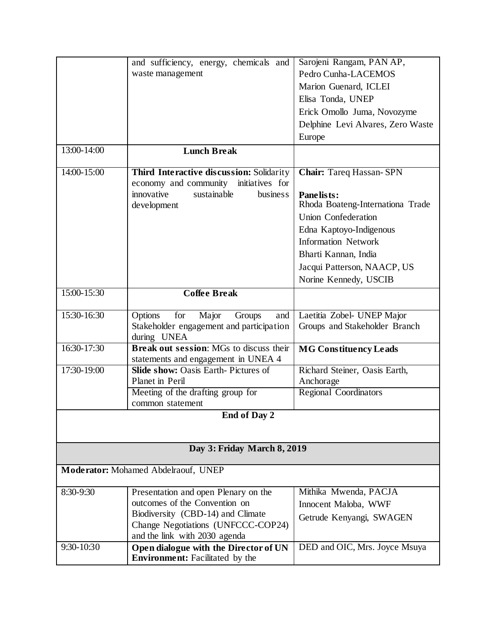|                                     | and sufficiency, energy, chemicals and                                          | Sarojeni Rangam, PAN AP,          |  |
|-------------------------------------|---------------------------------------------------------------------------------|-----------------------------------|--|
|                                     | waste management                                                                | Pedro Cunha-LACEMOS               |  |
|                                     |                                                                                 | Marion Guenard, ICLEI             |  |
|                                     |                                                                                 | Elisa Tonda, UNEP                 |  |
|                                     |                                                                                 | Erick Omollo Juma, Novozyme       |  |
|                                     |                                                                                 | Delphine Levi Alvares, Zero Waste |  |
|                                     |                                                                                 | Europe                            |  |
| $13:00 - 14:00$                     | <b>Lunch Break</b>                                                              |                                   |  |
|                                     |                                                                                 |                                   |  |
| 14:00-15:00                         | Third Interactive discussion: Solidarity                                        | <b>Chair:</b> Tareq Hassan-SPN    |  |
|                                     | economy and community<br>initiatives for                                        |                                   |  |
|                                     | innovative<br>sustainable<br>busines <sub>s</sub>                               | Panelists:                        |  |
|                                     | development                                                                     | Rhoda Boateng-Internationa Trade  |  |
|                                     |                                                                                 | <b>Union Confederation</b>        |  |
|                                     |                                                                                 | Edna Kaptoyo-Indigenous           |  |
|                                     |                                                                                 | <b>Information Network</b>        |  |
|                                     |                                                                                 | Bharti Kannan, India              |  |
|                                     |                                                                                 | Jacqui Patterson, NAACP, US       |  |
|                                     |                                                                                 | Norine Kennedy, USCIB             |  |
| $15:00 - 15:30$                     | <b>Coffee Break</b>                                                             |                                   |  |
|                                     |                                                                                 |                                   |  |
| 15:30-16:30                         | Options<br>for<br>Major<br>Groups<br>and                                        | Laetitia Zobel- UNEP Major        |  |
|                                     | Stakeholder engagement and participation<br>during UNEA                         | Groups and Stakeholder Branch     |  |
| 16:30-17:30                         | Break out session: MGs to discuss their                                         | <b>MG Constituency Leads</b>      |  |
|                                     | statements and engagement in UNEA 4                                             |                                   |  |
| 17:30-19:00                         | <b>Slide show: Oasis Earth-Pictures of</b>                                      | Richard Steiner, Oasis Earth,     |  |
|                                     | Planet in Peril                                                                 | Anchorage                         |  |
|                                     | Meeting of the drafting group for                                               | <b>Regional Coordinators</b>      |  |
|                                     | common statement                                                                |                                   |  |
|                                     | <b>End of Day 2</b>                                                             |                                   |  |
|                                     |                                                                                 |                                   |  |
|                                     | Day 3: Friday March 8, 2019                                                     |                                   |  |
|                                     |                                                                                 |                                   |  |
| Moderator: Mohamed Abdelraouf, UNEP |                                                                                 |                                   |  |
| 8:30-9:30                           | Presentation and open Plenary on the                                            | Mithika Mwenda, PACJA             |  |
|                                     | outcomes of the Convention on                                                   | Innocent Maloba, WWF              |  |
|                                     | Biodiversity (CBD-14) and Climate                                               | Getrude Kenyangi, SWAGEN          |  |
|                                     | Change Negotiations (UNFCCC-COP24)                                              |                                   |  |
|                                     | and the link with 2030 agenda                                                   |                                   |  |
| 9:30-10:30                          | Open dialogue with the Director of UN<br><b>Environment:</b> Facilitated by the | DED and OIC, Mrs. Joyce Msuya     |  |